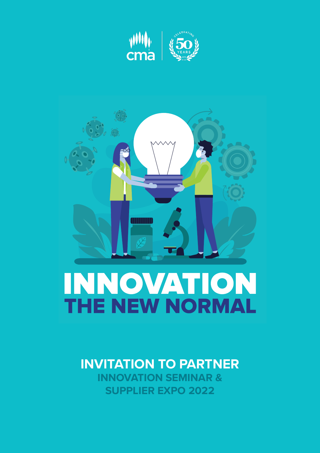



# THE NEW NORMAL

# **INVITATION TO PARTNER**

**INNOVATION SEMINAR & SUPPLIER EXPO 2022**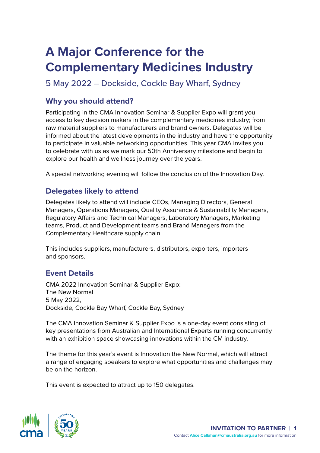# **A Major Conference for the Complementary Medicines Industry**

# 5 May 2022 – Dockside, Cockle Bay Wharf, Sydney

# **Why you should attend?**

Participating in the CMA Innovation Seminar & Supplier Expo will grant you access to key decision makers in the complementary medicines industry; from raw material suppliers to manufacturers and brand owners. Delegates will be informed about the latest developments in the industry and have the opportunity to participate in valuable networking opportunities. This year CMA invites you to celebrate with us as we mark our 50th Anniversary milestone and begin to explore our health and wellness journey over the years.

A special networking evening will follow the conclusion of the Innovation Day.

# **Delegates likely to attend**

Delegates likely to attend will include CEOs, Managing Directors, General Managers, Operations Managers, Quality Assurance & Sustainability Managers, Regulatory Affairs and Technical Managers, Laboratory Managers, Marketing teams, Product and Development teams and Brand Managers from the Complementary Healthcare supply chain.

This includes suppliers, manufacturers, distributors, exporters, importers and sponsors.

# **Event Details**

CMA 2022 Innovation Seminar & Supplier Expo: The New Normal 5 May 2022, Dockside, Cockle Bay Wharf, Cockle Bay, Sydney

The CMA Innovation Seminar & Supplier Expo is a one-day event consisting of key presentations from Australian and International Experts running concurrently with an exhibition space showcasing innovations within the CM industry.

The theme for this year's event is Innovation the New Normal, which will attract a range of engaging speakers to explore what opportunities and challenges may be on the horizon.

This event is expected to attract up to 150 delegates.

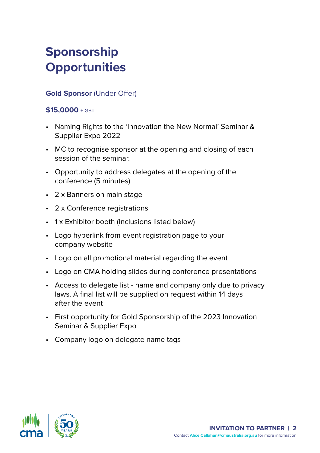# **Sponsorship Opportunities**

# **Gold Sponsor** (Under Offer)

#### **\$15,0000** + GST

- Naming Rights to the 'Innovation the New Normal' Seminar & Supplier Expo 2022
- MC to recognise sponsor at the opening and closing of each session of the seminar.
- Opportunity to address delegates at the opening of the conference (5 minutes)
- 2 x Banners on main stage
- 2 x Conference registrations
- 1 x Exhibitor booth (Inclusions listed below)
- Logo hyperlink from event registration page to your company website
- Logo on all promotional material regarding the event
- Logo on CMA holding slides during conference presentations
- Access to delegate list name and company only due to privacy laws. A final list will be supplied on request within 14 days after the event
- First opportunity for Gold Sponsorship of the 2023 Innovation Seminar & Supplier Expo
- Company logo on delegate name tags

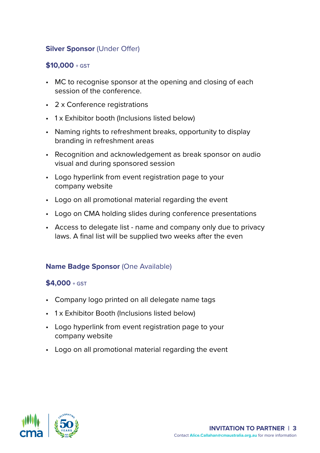# **Silver Sponsor (Under Offer)**

### **\$10,000** + GST

- MC to recognise sponsor at the opening and closing of each session of the conference.
- 2 x Conference registrations
- 1 x Exhibitor booth (Inclusions listed below)
- Naming rights to refreshment breaks, opportunity to display branding in refreshment areas
- Recognition and acknowledgement as break sponsor on audio visual and during sponsored session
- Logo hyperlink from event registration page to your company website
- Logo on all promotional material regarding the event
- Logo on CMA holding slides during conference presentations
- Access to delegate list name and company only due to privacy laws. A final list will be supplied two weeks after the even

#### **Name Badge Sponsor (One Available)**

#### **\$4,000** + GST

- Company logo printed on all delegate name tags
- 1 x Exhibitor Booth (Inclusions listed below)
- Logo hyperlink from event registration page to your company website
- Logo on all promotional material regarding the event

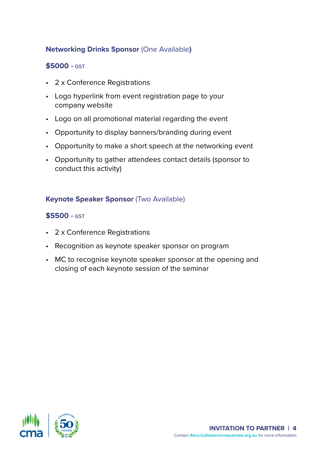# **Networking Drinks Sponsor** (One Available**)**

#### **\$5000** + GST

- 2 x Conference Registrations
- Logo hyperlink from event registration page to your company website
- Logo on all promotional material regarding the event
- Opportunity to display banners/branding during event
- Opportunity to make a short speech at the networking event
- Opportunity to gather attendees contact details (sponsor to conduct this activity)

#### **Keynote Speaker Sponsor** (Two Available)

#### **\$5500** + GST

- 2 x Conference Registrations
- Recognition as keynote speaker sponsor on program
- MC to recognise keynote speaker sponsor at the opening and closing of each keynote session of the seminar

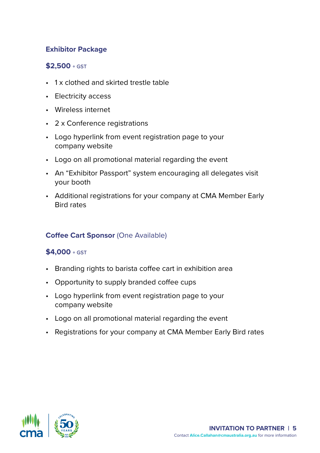# **Exhibitor Package**

## **\$2,500** + GST

- 1 x clothed and skirted trestle table
- Electricity access
- Wireless internet
- 2 x Conference registrations
- Logo hyperlink from event registration page to your company website
- Logo on all promotional material regarding the event
- An "Exhibitor Passport" system encouraging all delegates visit your booth
- Additional registrations for your company at CMA Member Early Bird rates

# **Coffee Cart Sponsor (One Available)**

# **\$4,000** + GST

- Branding rights to barista coffee cart in exhibition area
- Opportunity to supply branded coffee cups
- Logo hyperlink from event registration page to your company website
- Logo on all promotional material regarding the event
- Registrations for your company at CMA Member Early Bird rates